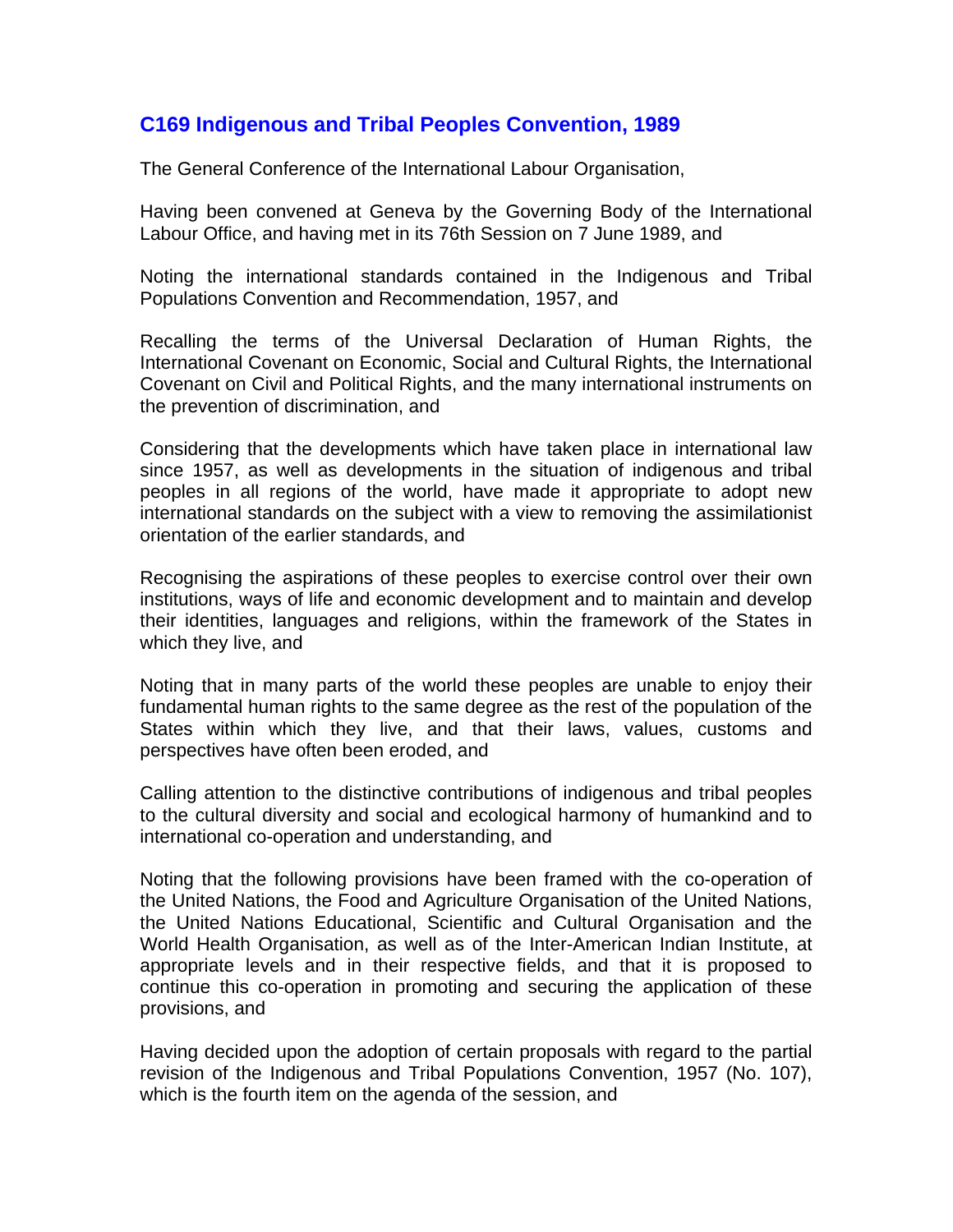# **C169 Indigenous and Tribal Peoples Convention, 1989**

The General Conference of the International Labour Organisation,

Having been convened at Geneva by the Governing Body of the International Labour Office, and having met in its 76th Session on 7 June 1989, and

Noting the international standards contained in the Indigenous and Tribal Populations Convention and Recommendation, 1957, and

Recalling the terms of the Universal Declaration of Human Rights, the International Covenant on Economic, Social and Cultural Rights, the International Covenant on Civil and Political Rights, and the many international instruments on the prevention of discrimination, and

Considering that the developments which have taken place in international law since 1957, as well as developments in the situation of indigenous and tribal peoples in all regions of the world, have made it appropriate to adopt new international standards on the subject with a view to removing the assimilationist orientation of the earlier standards, and

Recognising the aspirations of these peoples to exercise control over their own institutions, ways of life and economic development and to maintain and develop their identities, languages and religions, within the framework of the States in which they live, and

Noting that in many parts of the world these peoples are unable to enjoy their fundamental human rights to the same degree as the rest of the population of the States within which they live, and that their laws, values, customs and perspectives have often been eroded, and

Calling attention to the distinctive contributions of indigenous and tribal peoples to the cultural diversity and social and ecological harmony of humankind and to international co-operation and understanding, and

Noting that the following provisions have been framed with the co-operation of the United Nations, the Food and Agriculture Organisation of the United Nations, the United Nations Educational, Scientific and Cultural Organisation and the World Health Organisation, as well as of the Inter-American Indian Institute, at appropriate levels and in their respective fields, and that it is proposed to continue this co-operation in promoting and securing the application of these provisions, and

Having decided upon the adoption of certain proposals with regard to the partial revision of the Indigenous and Tribal Populations Convention, 1957 (No. 107), which is the fourth item on the agenda of the session, and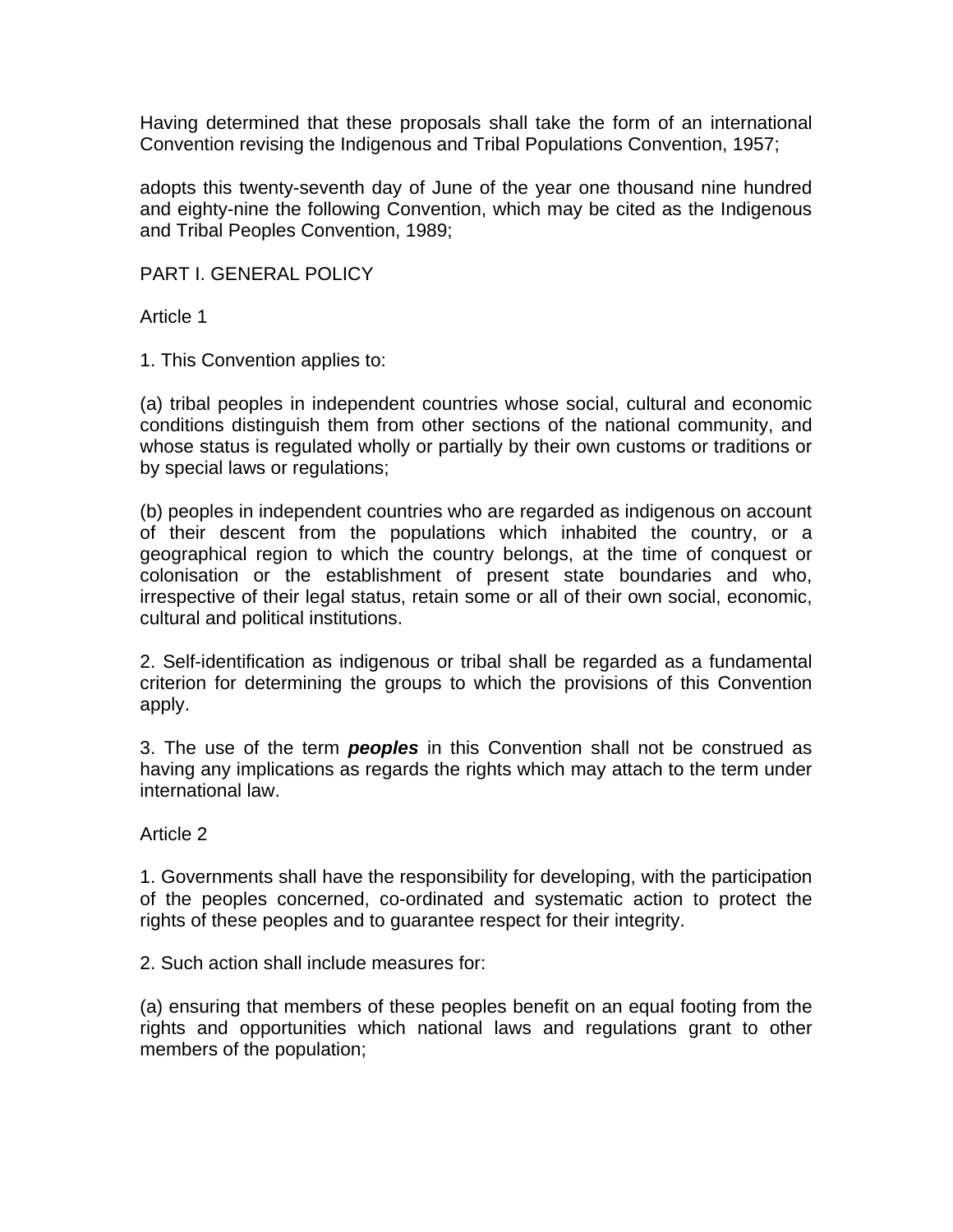Having determined that these proposals shall take the form of an international Convention revising the Indigenous and Tribal Populations Convention, 1957;

adopts this twenty-seventh day of June of the year one thousand nine hundred and eighty-nine the following Convention, which may be cited as the Indigenous and Tribal Peoples Convention, 1989;

PART I. GENERAL POLICY

Article 1

1. This Convention applies to:

(a) tribal peoples in independent countries whose social, cultural and economic conditions distinguish them from other sections of the national community, and whose status is regulated wholly or partially by their own customs or traditions or by special laws or regulations;

(b) peoples in independent countries who are regarded as indigenous on account of their descent from the populations which inhabited the country, or a geographical region to which the country belongs, at the time of conquest or colonisation or the establishment of present state boundaries and who, irrespective of their legal status, retain some or all of their own social, economic, cultural and political institutions.

2. Self-identification as indigenous or tribal shall be regarded as a fundamental criterion for determining the groups to which the provisions of this Convention apply.

3. The use of the term *peoples* in this Convention shall not be construed as having any implications as regards the rights which may attach to the term under international law.

Article 2

1. Governments shall have the responsibility for developing, with the participation of the peoples concerned, co-ordinated and systematic action to protect the rights of these peoples and to guarantee respect for their integrity.

2. Such action shall include measures for:

(a) ensuring that members of these peoples benefit on an equal footing from the rights and opportunities which national laws and regulations grant to other members of the population;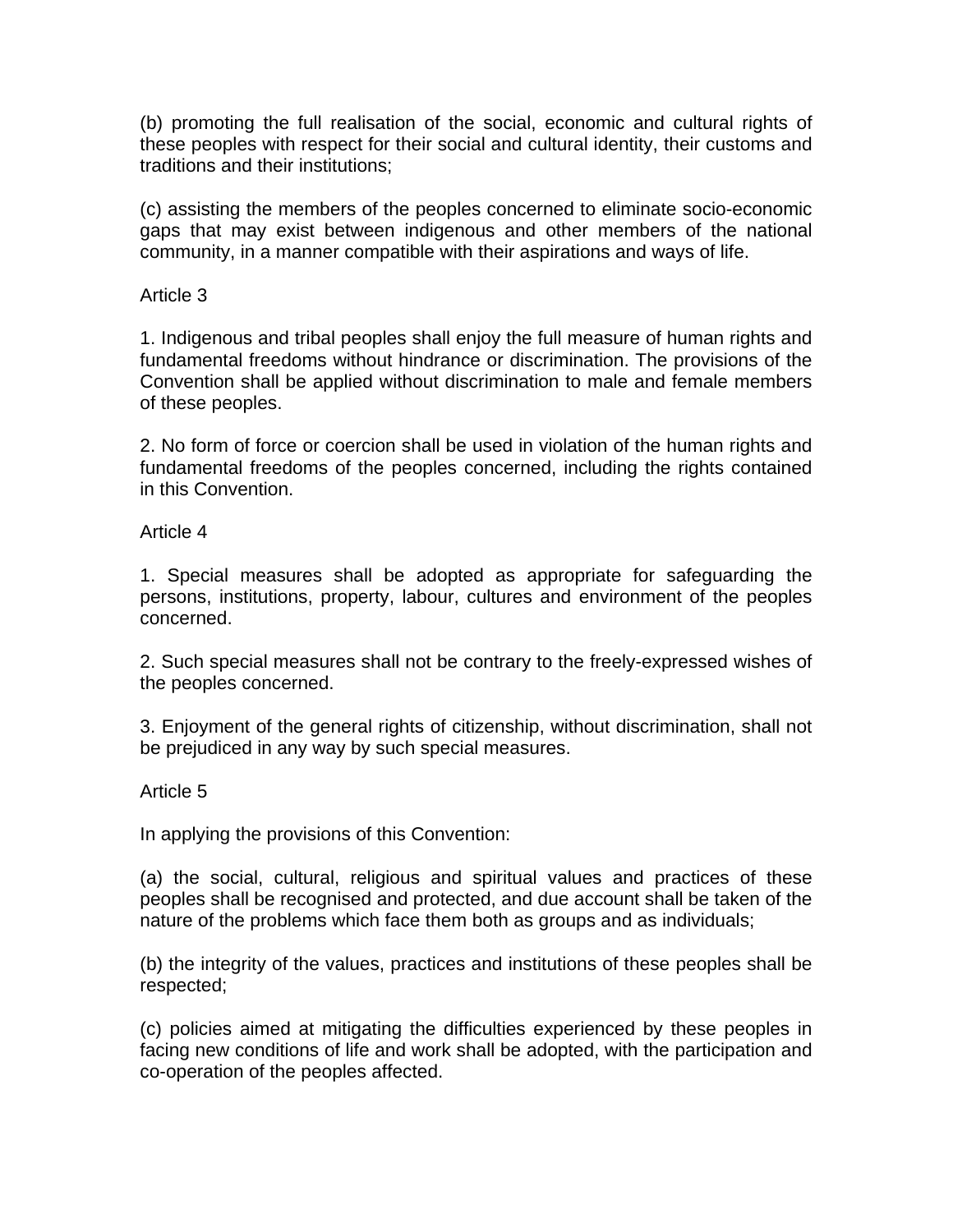(b) promoting the full realisation of the social, economic and cultural rights of these peoples with respect for their social and cultural identity, their customs and traditions and their institutions;

(c) assisting the members of the peoples concerned to eliminate socio-economic gaps that may exist between indigenous and other members of the national community, in a manner compatible with their aspirations and ways of life.

#### Article 3

1. Indigenous and tribal peoples shall enjoy the full measure of human rights and fundamental freedoms without hindrance or discrimination. The provisions of the Convention shall be applied without discrimination to male and female members of these peoples.

2. No form of force or coercion shall be used in violation of the human rights and fundamental freedoms of the peoples concerned, including the rights contained in this Convention.

#### Article 4

1. Special measures shall be adopted as appropriate for safeguarding the persons, institutions, property, labour, cultures and environment of the peoples concerned.

2. Such special measures shall not be contrary to the freely-expressed wishes of the peoples concerned.

3. Enjoyment of the general rights of citizenship, without discrimination, shall not be prejudiced in any way by such special measures.

#### Article 5

In applying the provisions of this Convention:

(a) the social, cultural, religious and spiritual values and practices of these peoples shall be recognised and protected, and due account shall be taken of the nature of the problems which face them both as groups and as individuals;

(b) the integrity of the values, practices and institutions of these peoples shall be respected;

(c) policies aimed at mitigating the difficulties experienced by these peoples in facing new conditions of life and work shall be adopted, with the participation and co-operation of the peoples affected.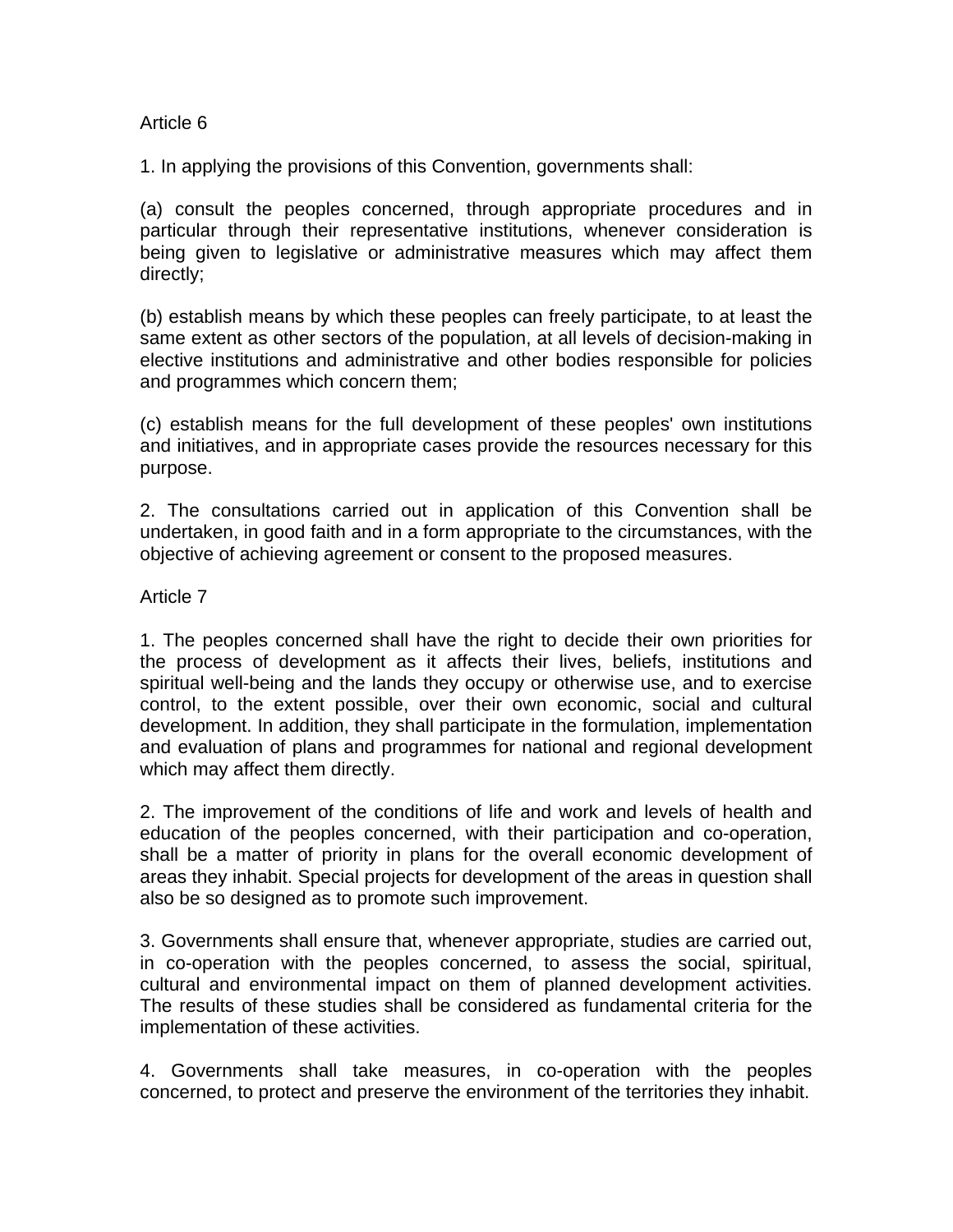1. In applying the provisions of this Convention, governments shall:

(a) consult the peoples concerned, through appropriate procedures and in particular through their representative institutions, whenever consideration is being given to legislative or administrative measures which may affect them directly;

(b) establish means by which these peoples can freely participate, to at least the same extent as other sectors of the population, at all levels of decision-making in elective institutions and administrative and other bodies responsible for policies and programmes which concern them;

(c) establish means for the full development of these peoples' own institutions and initiatives, and in appropriate cases provide the resources necessary for this purpose.

2. The consultations carried out in application of this Convention shall be undertaken, in good faith and in a form appropriate to the circumstances, with the objective of achieving agreement or consent to the proposed measures.

# Article 7

1. The peoples concerned shall have the right to decide their own priorities for the process of development as it affects their lives, beliefs, institutions and spiritual well-being and the lands they occupy or otherwise use, and to exercise control, to the extent possible, over their own economic, social and cultural development. In addition, they shall participate in the formulation, implementation and evaluation of plans and programmes for national and regional development which may affect them directly.

2. The improvement of the conditions of life and work and levels of health and education of the peoples concerned, with their participation and co-operation, shall be a matter of priority in plans for the overall economic development of areas they inhabit. Special projects for development of the areas in question shall also be so designed as to promote such improvement.

3. Governments shall ensure that, whenever appropriate, studies are carried out, in co-operation with the peoples concerned, to assess the social, spiritual, cultural and environmental impact on them of planned development activities. The results of these studies shall be considered as fundamental criteria for the implementation of these activities.

4. Governments shall take measures, in co-operation with the peoples concerned, to protect and preserve the environment of the territories they inhabit.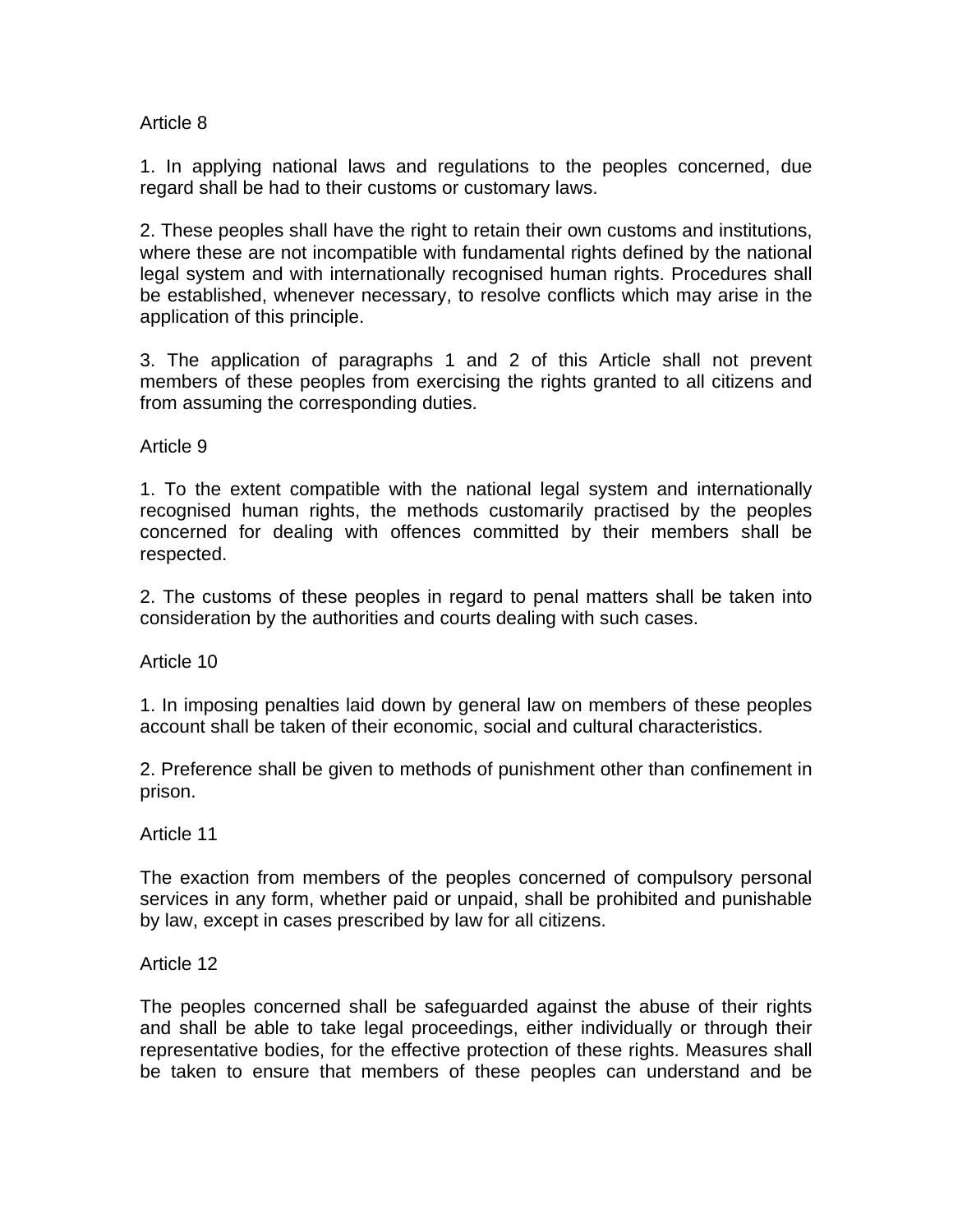1. In applying national laws and regulations to the peoples concerned, due regard shall be had to their customs or customary laws.

2. These peoples shall have the right to retain their own customs and institutions, where these are not incompatible with fundamental rights defined by the national legal system and with internationally recognised human rights. Procedures shall be established, whenever necessary, to resolve conflicts which may arise in the application of this principle.

3. The application of paragraphs 1 and 2 of this Article shall not prevent members of these peoples from exercising the rights granted to all citizens and from assuming the corresponding duties.

Article 9

1. To the extent compatible with the national legal system and internationally recognised human rights, the methods customarily practised by the peoples concerned for dealing with offences committed by their members shall be respected.

2. The customs of these peoples in regard to penal matters shall be taken into consideration by the authorities and courts dealing with such cases.

Article 10

1. In imposing penalties laid down by general law on members of these peoples account shall be taken of their economic, social and cultural characteristics.

2. Preference shall be given to methods of punishment other than confinement in prison.

Article 11

The exaction from members of the peoples concerned of compulsory personal services in any form, whether paid or unpaid, shall be prohibited and punishable by law, except in cases prescribed by law for all citizens.

Article 12

The peoples concerned shall be safeguarded against the abuse of their rights and shall be able to take legal proceedings, either individually or through their representative bodies, for the effective protection of these rights. Measures shall be taken to ensure that members of these peoples can understand and be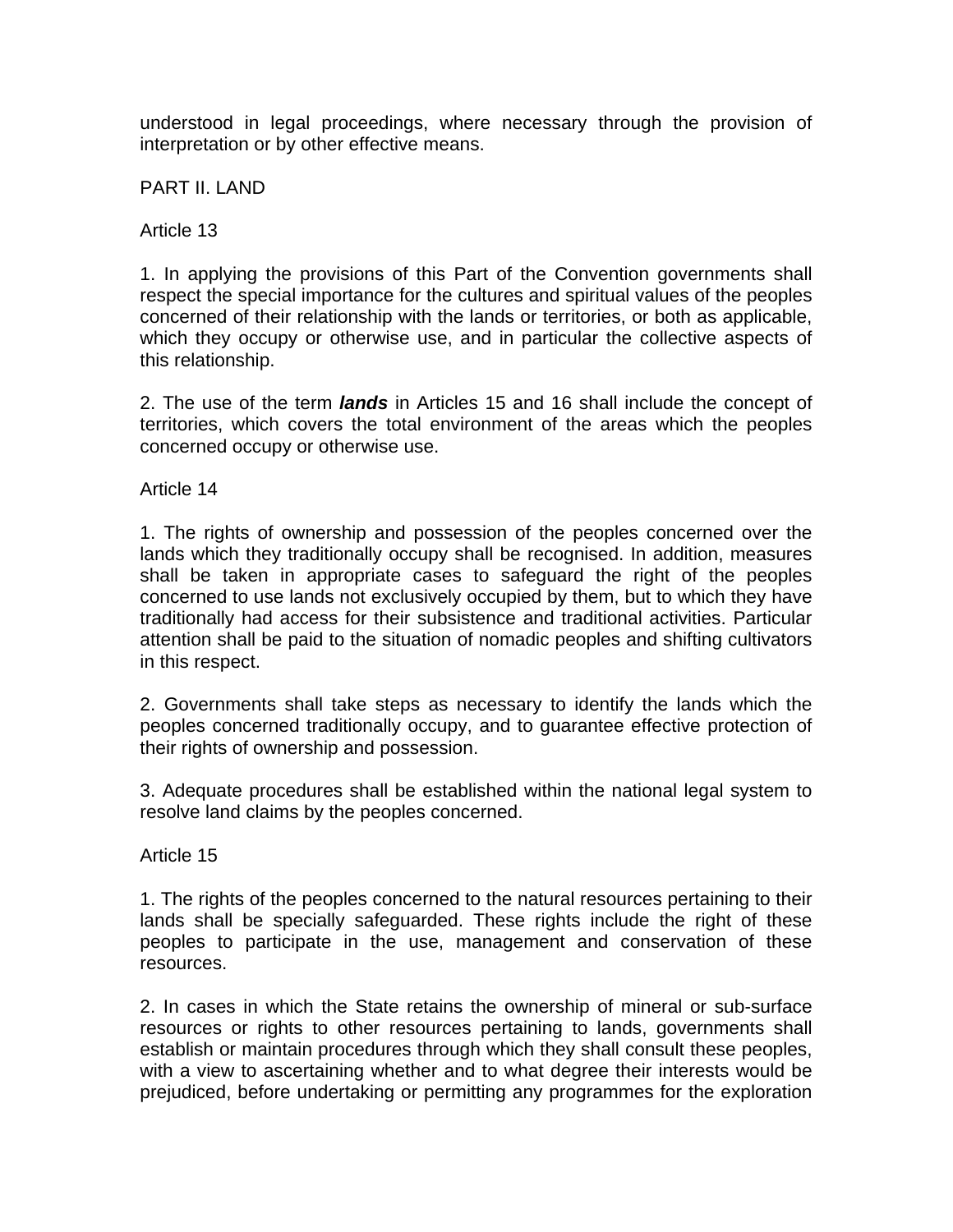understood in legal proceedings, where necessary through the provision of interpretation or by other effective means.

PART II. LAND

Article 13

1. In applying the provisions of this Part of the Convention governments shall respect the special importance for the cultures and spiritual values of the peoples concerned of their relationship with the lands or territories, or both as applicable, which they occupy or otherwise use, and in particular the collective aspects of this relationship.

2. The use of the term *lands* in Articles 15 and 16 shall include the concept of territories, which covers the total environment of the areas which the peoples concerned occupy or otherwise use.

Article 14

1. The rights of ownership and possession of the peoples concerned over the lands which they traditionally occupy shall be recognised. In addition, measures shall be taken in appropriate cases to safeguard the right of the peoples concerned to use lands not exclusively occupied by them, but to which they have traditionally had access for their subsistence and traditional activities. Particular attention shall be paid to the situation of nomadic peoples and shifting cultivators in this respect.

2. Governments shall take steps as necessary to identify the lands which the peoples concerned traditionally occupy, and to guarantee effective protection of their rights of ownership and possession.

3. Adequate procedures shall be established within the national legal system to resolve land claims by the peoples concerned.

Article 15

1. The rights of the peoples concerned to the natural resources pertaining to their lands shall be specially safeguarded. These rights include the right of these peoples to participate in the use, management and conservation of these resources.

2. In cases in which the State retains the ownership of mineral or sub-surface resources or rights to other resources pertaining to lands, governments shall establish or maintain procedures through which they shall consult these peoples, with a view to ascertaining whether and to what degree their interests would be prejudiced, before undertaking or permitting any programmes for the exploration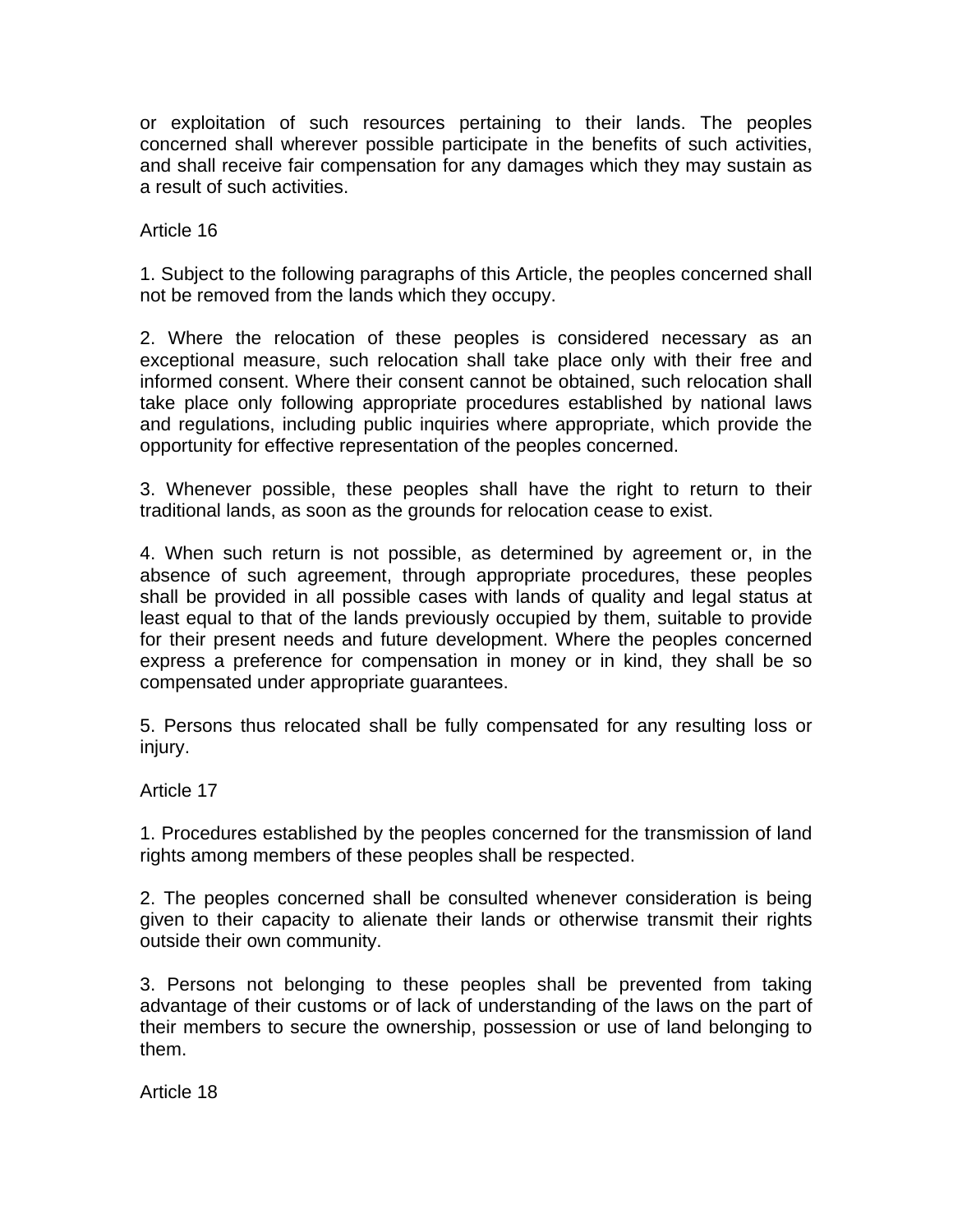or exploitation of such resources pertaining to their lands. The peoples concerned shall wherever possible participate in the benefits of such activities, and shall receive fair compensation for any damages which they may sustain as a result of such activities.

Article 16

1. Subject to the following paragraphs of this Article, the peoples concerned shall not be removed from the lands which they occupy.

2. Where the relocation of these peoples is considered necessary as an exceptional measure, such relocation shall take place only with their free and informed consent. Where their consent cannot be obtained, such relocation shall take place only following appropriate procedures established by national laws and regulations, including public inquiries where appropriate, which provide the opportunity for effective representation of the peoples concerned.

3. Whenever possible, these peoples shall have the right to return to their traditional lands, as soon as the grounds for relocation cease to exist.

4. When such return is not possible, as determined by agreement or, in the absence of such agreement, through appropriate procedures, these peoples shall be provided in all possible cases with lands of quality and legal status at least equal to that of the lands previously occupied by them, suitable to provide for their present needs and future development. Where the peoples concerned express a preference for compensation in money or in kind, they shall be so compensated under appropriate guarantees.

5. Persons thus relocated shall be fully compensated for any resulting loss or injury.

Article 17

1. Procedures established by the peoples concerned for the transmission of land rights among members of these peoples shall be respected.

2. The peoples concerned shall be consulted whenever consideration is being given to their capacity to alienate their lands or otherwise transmit their rights outside their own community.

3. Persons not belonging to these peoples shall be prevented from taking advantage of their customs or of lack of understanding of the laws on the part of their members to secure the ownership, possession or use of land belonging to them.

Article 18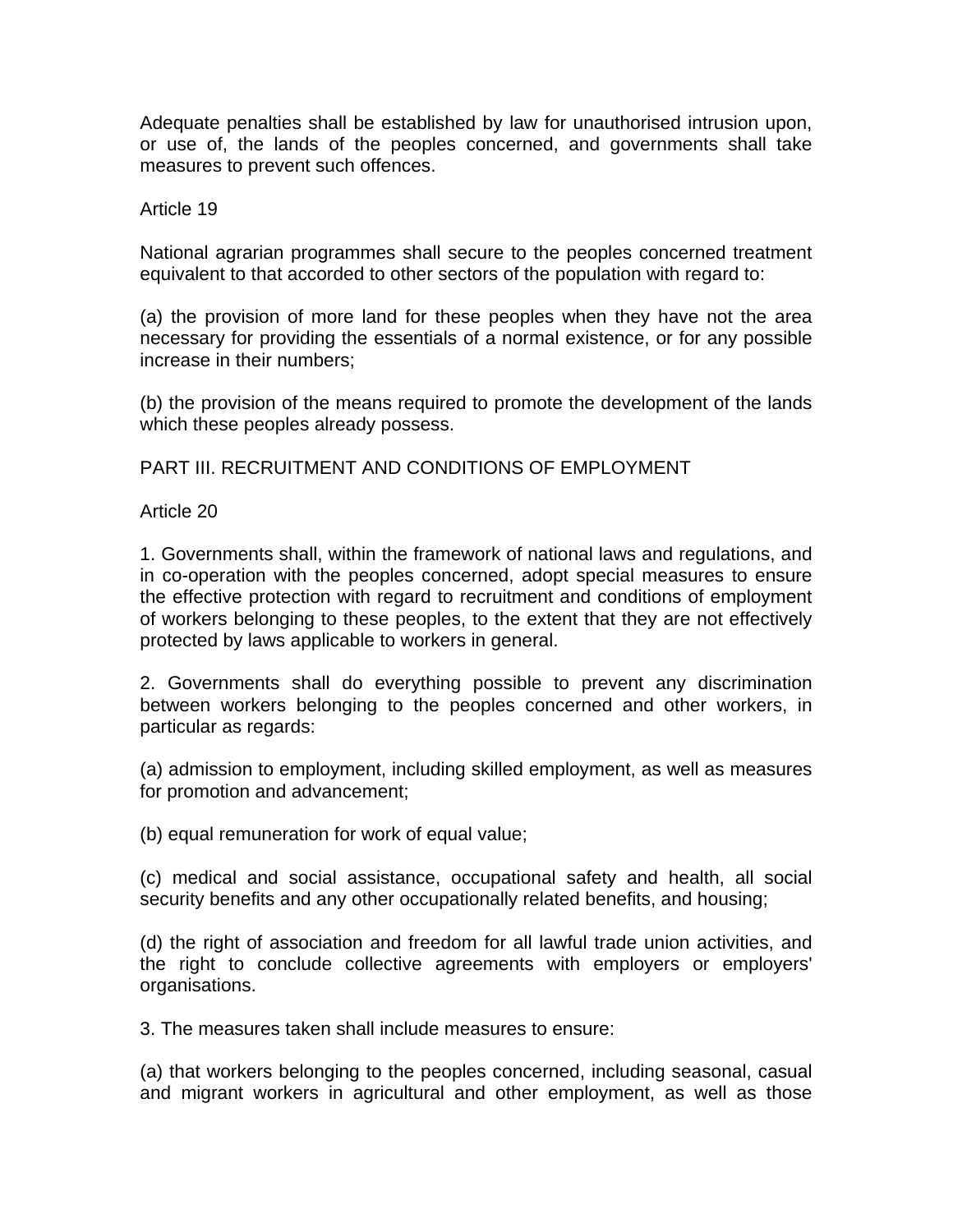Adequate penalties shall be established by law for unauthorised intrusion upon, or use of, the lands of the peoples concerned, and governments shall take measures to prevent such offences.

Article 19

National agrarian programmes shall secure to the peoples concerned treatment equivalent to that accorded to other sectors of the population with regard to:

(a) the provision of more land for these peoples when they have not the area necessary for providing the essentials of a normal existence, or for any possible increase in their numbers;

(b) the provision of the means required to promote the development of the lands which these peoples already possess.

PART III. RECRUITMENT AND CONDITIONS OF EMPLOYMENT

Article 20

1. Governments shall, within the framework of national laws and regulations, and in co-operation with the peoples concerned, adopt special measures to ensure the effective protection with regard to recruitment and conditions of employment of workers belonging to these peoples, to the extent that they are not effectively protected by laws applicable to workers in general.

2. Governments shall do everything possible to prevent any discrimination between workers belonging to the peoples concerned and other workers, in particular as regards:

(a) admission to employment, including skilled employment, as well as measures for promotion and advancement;

(b) equal remuneration for work of equal value;

(c) medical and social assistance, occupational safety and health, all social security benefits and any other occupationally related benefits, and housing;

(d) the right of association and freedom for all lawful trade union activities, and the right to conclude collective agreements with employers or employers' organisations.

3. The measures taken shall include measures to ensure:

(a) that workers belonging to the peoples concerned, including seasonal, casual and migrant workers in agricultural and other employment, as well as those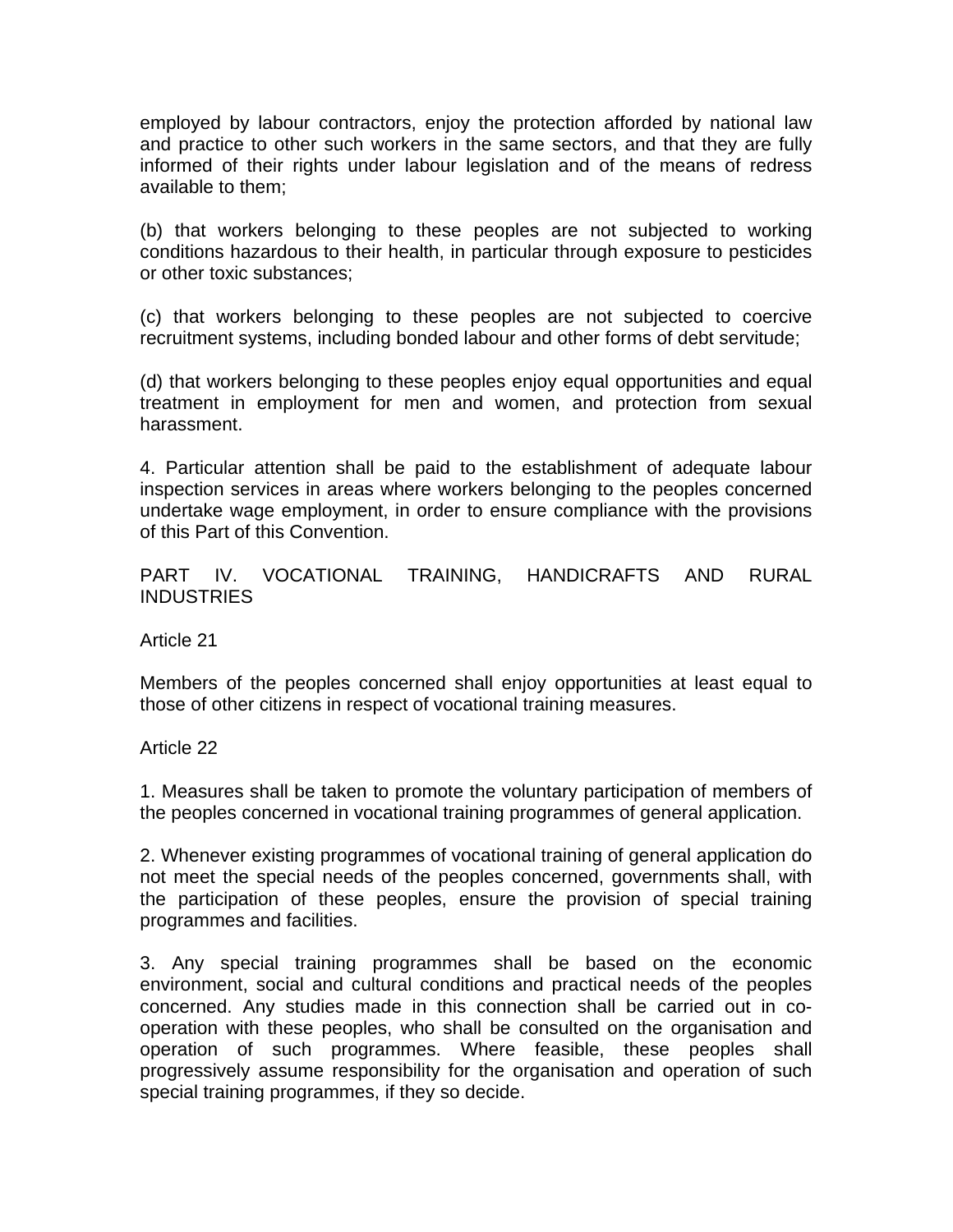employed by labour contractors, enjoy the protection afforded by national law and practice to other such workers in the same sectors, and that they are fully informed of their rights under labour legislation and of the means of redress available to them;

(b) that workers belonging to these peoples are not subjected to working conditions hazardous to their health, in particular through exposure to pesticides or other toxic substances;

(c) that workers belonging to these peoples are not subjected to coercive recruitment systems, including bonded labour and other forms of debt servitude;

(d) that workers belonging to these peoples enjoy equal opportunities and equal treatment in employment for men and women, and protection from sexual harassment.

4. Particular attention shall be paid to the establishment of adequate labour inspection services in areas where workers belonging to the peoples concerned undertake wage employment, in order to ensure compliance with the provisions of this Part of this Convention.

PART IV. VOCATIONAL TRAINING, HANDICRAFTS AND RURAL INDUSTRIES

Article 21

Members of the peoples concerned shall enjoy opportunities at least equal to those of other citizens in respect of vocational training measures.

Article 22

1. Measures shall be taken to promote the voluntary participation of members of the peoples concerned in vocational training programmes of general application.

2. Whenever existing programmes of vocational training of general application do not meet the special needs of the peoples concerned, governments shall, with the participation of these peoples, ensure the provision of special training programmes and facilities.

3. Any special training programmes shall be based on the economic environment, social and cultural conditions and practical needs of the peoples concerned. Any studies made in this connection shall be carried out in cooperation with these peoples, who shall be consulted on the organisation and operation of such programmes. Where feasible, these peoples shall progressively assume responsibility for the organisation and operation of such special training programmes, if they so decide.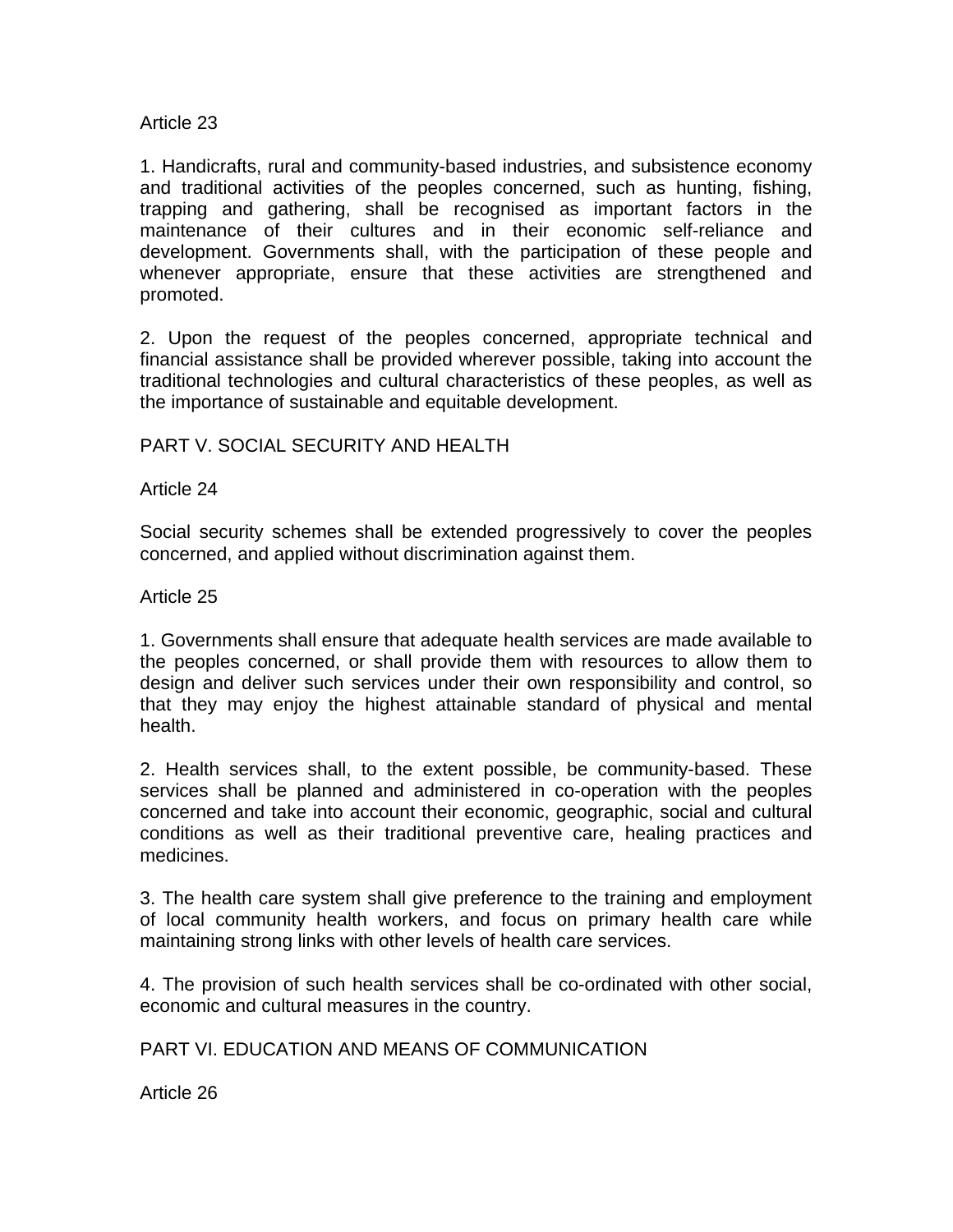1. Handicrafts, rural and community-based industries, and subsistence economy and traditional activities of the peoples concerned, such as hunting, fishing, trapping and gathering, shall be recognised as important factors in the maintenance of their cultures and in their economic self-reliance and development. Governments shall, with the participation of these people and whenever appropriate, ensure that these activities are strengthened and promoted.

2. Upon the request of the peoples concerned, appropriate technical and financial assistance shall be provided wherever possible, taking into account the traditional technologies and cultural characteristics of these peoples, as well as the importance of sustainable and equitable development.

### PART V. SOCIAL SECURITY AND HEALTH

Article 24

Social security schemes shall be extended progressively to cover the peoples concerned, and applied without discrimination against them.

Article 25

1. Governments shall ensure that adequate health services are made available to the peoples concerned, or shall provide them with resources to allow them to design and deliver such services under their own responsibility and control, so that they may enjoy the highest attainable standard of physical and mental health.

2. Health services shall, to the extent possible, be community-based. These services shall be planned and administered in co-operation with the peoples concerned and take into account their economic, geographic, social and cultural conditions as well as their traditional preventive care, healing practices and medicines.

3. The health care system shall give preference to the training and employment of local community health workers, and focus on primary health care while maintaining strong links with other levels of health care services.

4. The provision of such health services shall be co-ordinated with other social, economic and cultural measures in the country.

PART VI. EDUCATION AND MEANS OF COMMUNICATION

Article 26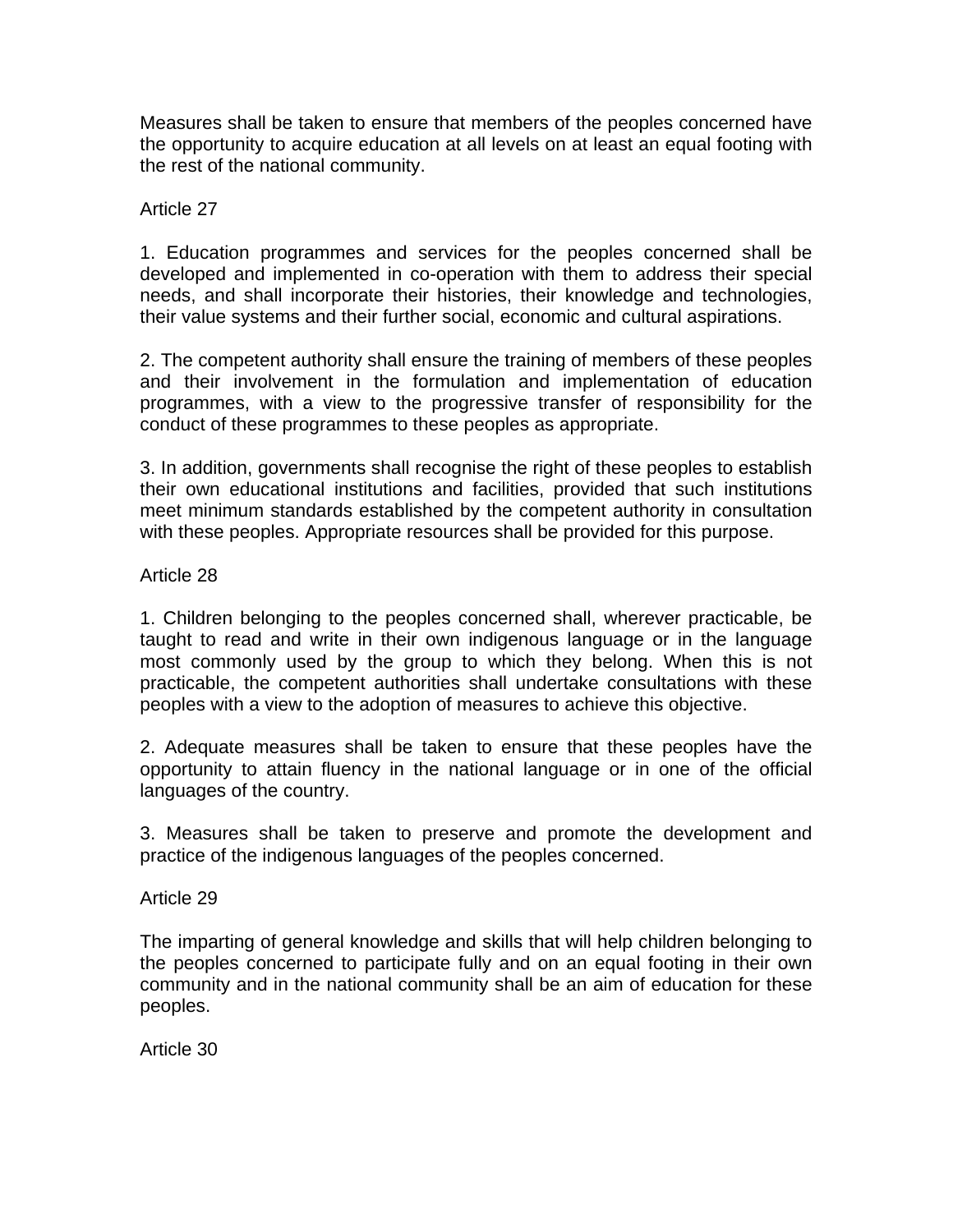Measures shall be taken to ensure that members of the peoples concerned have the opportunity to acquire education at all levels on at least an equal footing with the rest of the national community.

### Article 27

1. Education programmes and services for the peoples concerned shall be developed and implemented in co-operation with them to address their special needs, and shall incorporate their histories, their knowledge and technologies, their value systems and their further social, economic and cultural aspirations.

2. The competent authority shall ensure the training of members of these peoples and their involvement in the formulation and implementation of education programmes, with a view to the progressive transfer of responsibility for the conduct of these programmes to these peoples as appropriate.

3. In addition, governments shall recognise the right of these peoples to establish their own educational institutions and facilities, provided that such institutions meet minimum standards established by the competent authority in consultation with these peoples. Appropriate resources shall be provided for this purpose.

# Article 28

1. Children belonging to the peoples concerned shall, wherever practicable, be taught to read and write in their own indigenous language or in the language most commonly used by the group to which they belong. When this is not practicable, the competent authorities shall undertake consultations with these peoples with a view to the adoption of measures to achieve this objective.

2. Adequate measures shall be taken to ensure that these peoples have the opportunity to attain fluency in the national language or in one of the official languages of the country.

3. Measures shall be taken to preserve and promote the development and practice of the indigenous languages of the peoples concerned.

### Article 29

The imparting of general knowledge and skills that will help children belonging to the peoples concerned to participate fully and on an equal footing in their own community and in the national community shall be an aim of education for these peoples.

Article 30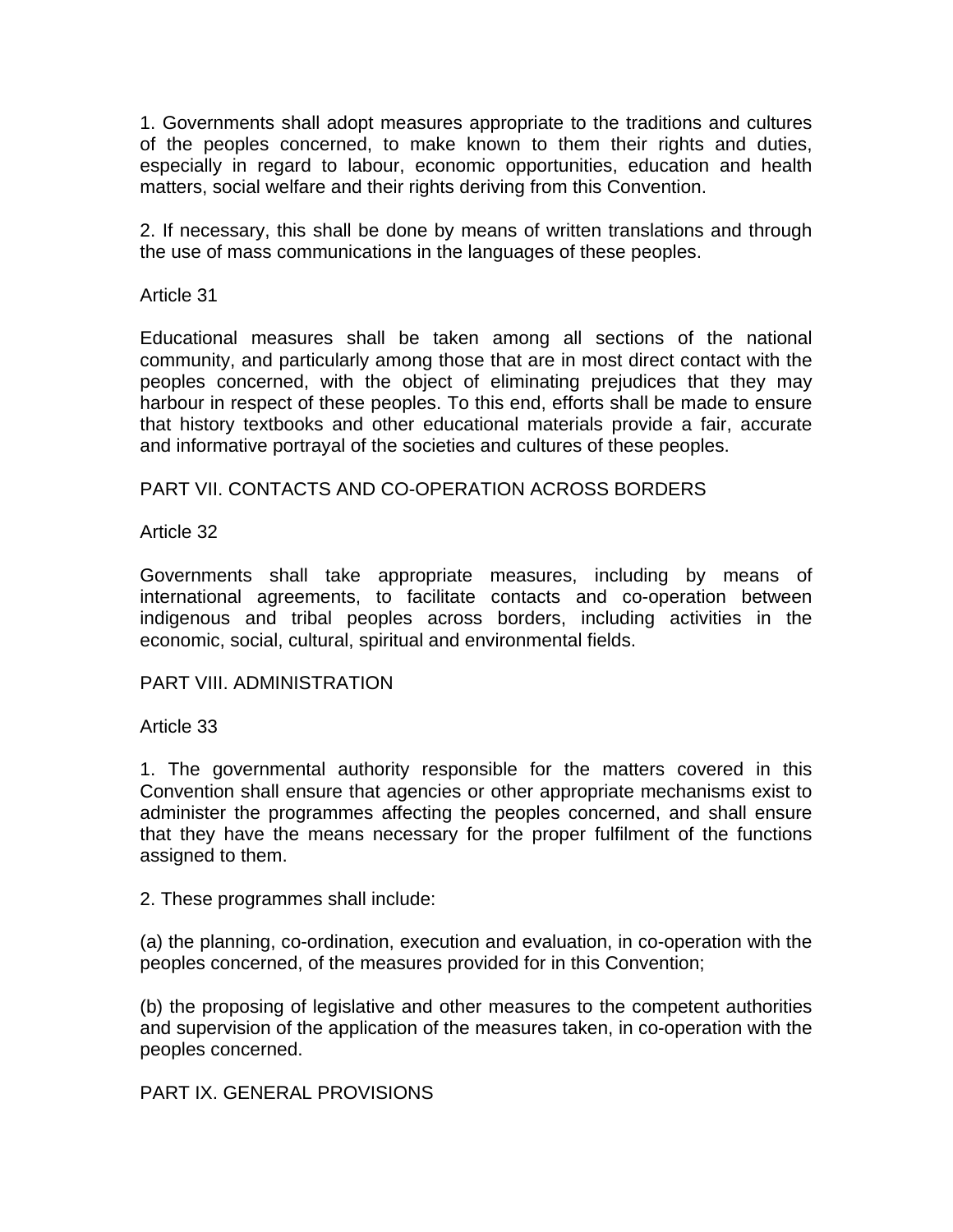1. Governments shall adopt measures appropriate to the traditions and cultures of the peoples concerned, to make known to them their rights and duties, especially in regard to labour, economic opportunities, education and health matters, social welfare and their rights deriving from this Convention.

2. If necessary, this shall be done by means of written translations and through the use of mass communications in the languages of these peoples.

Article 31

Educational measures shall be taken among all sections of the national community, and particularly among those that are in most direct contact with the peoples concerned, with the object of eliminating prejudices that they may harbour in respect of these peoples. To this end, efforts shall be made to ensure that history textbooks and other educational materials provide a fair, accurate and informative portrayal of the societies and cultures of these peoples.

### PART VII. CONTACTS AND CO-OPERATION ACROSS BORDERS

Article 32

Governments shall take appropriate measures, including by means of international agreements, to facilitate contacts and co-operation between indigenous and tribal peoples across borders, including activities in the economic, social, cultural, spiritual and environmental fields.

### PART VIII. ADMINISTRATION

#### Article 33

1. The governmental authority responsible for the matters covered in this Convention shall ensure that agencies or other appropriate mechanisms exist to administer the programmes affecting the peoples concerned, and shall ensure that they have the means necessary for the proper fulfilment of the functions assigned to them.

2. These programmes shall include:

(a) the planning, co-ordination, execution and evaluation, in co-operation with the peoples concerned, of the measures provided for in this Convention;

(b) the proposing of legislative and other measures to the competent authorities and supervision of the application of the measures taken, in co-operation with the peoples concerned.

PART IX. GENERAL PROVISIONS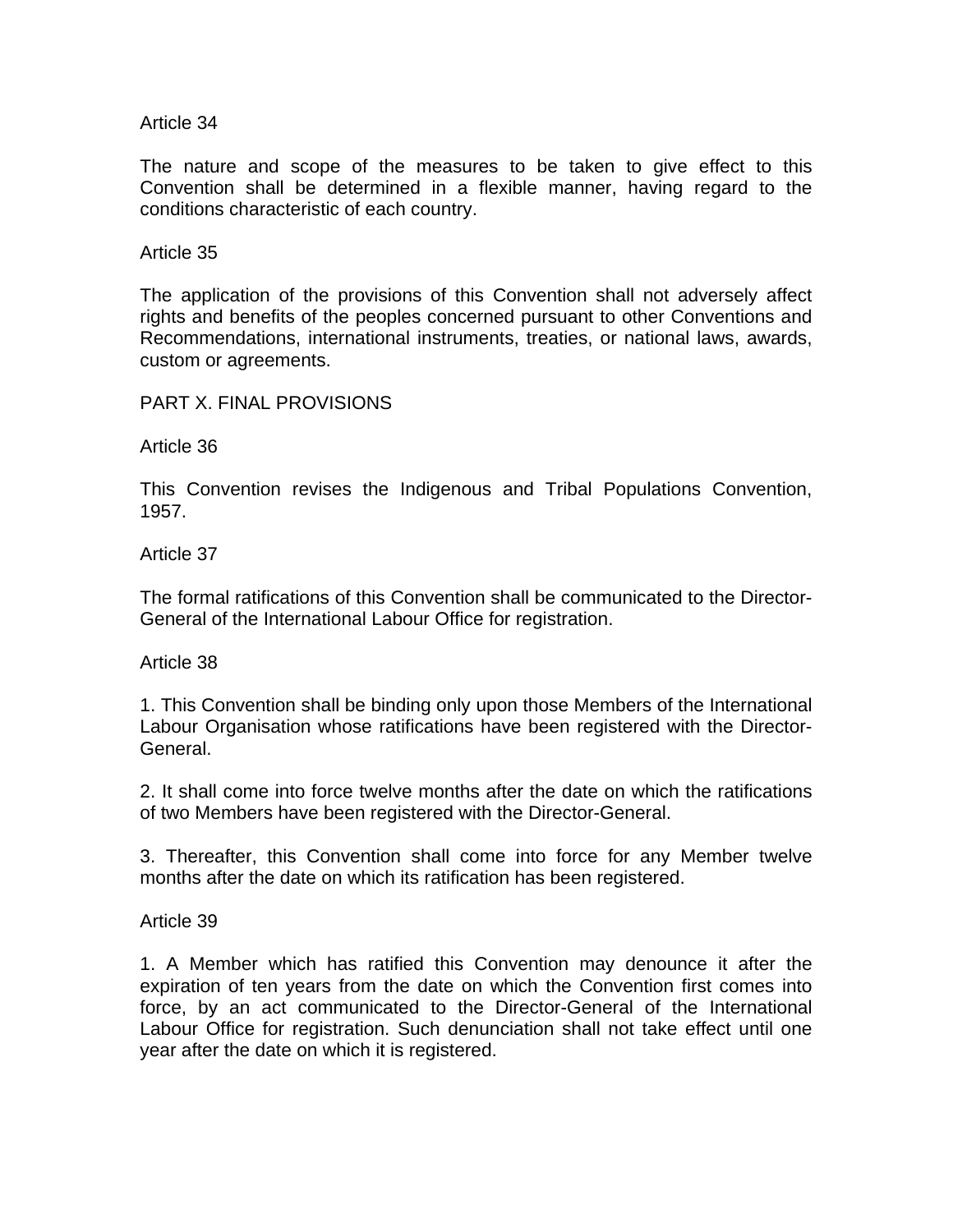The nature and scope of the measures to be taken to give effect to this Convention shall be determined in a flexible manner, having regard to the conditions characteristic of each country.

#### Article 35

The application of the provisions of this Convention shall not adversely affect rights and benefits of the peoples concerned pursuant to other Conventions and Recommendations, international instruments, treaties, or national laws, awards, custom or agreements.

PART X. FINAL PROVISIONS

Article 36

This Convention revises the Indigenous and Tribal Populations Convention, 1957.

Article 37

The formal ratifications of this Convention shall be communicated to the Director-General of the International Labour Office for registration.

Article 38

1. This Convention shall be binding only upon those Members of the International Labour Organisation whose ratifications have been registered with the Director-General.

2. It shall come into force twelve months after the date on which the ratifications of two Members have been registered with the Director-General.

3. Thereafter, this Convention shall come into force for any Member twelve months after the date on which its ratification has been registered.

Article 39

1. A Member which has ratified this Convention may denounce it after the expiration of ten years from the date on which the Convention first comes into force, by an act communicated to the Director-General of the International Labour Office for registration. Such denunciation shall not take effect until one year after the date on which it is registered.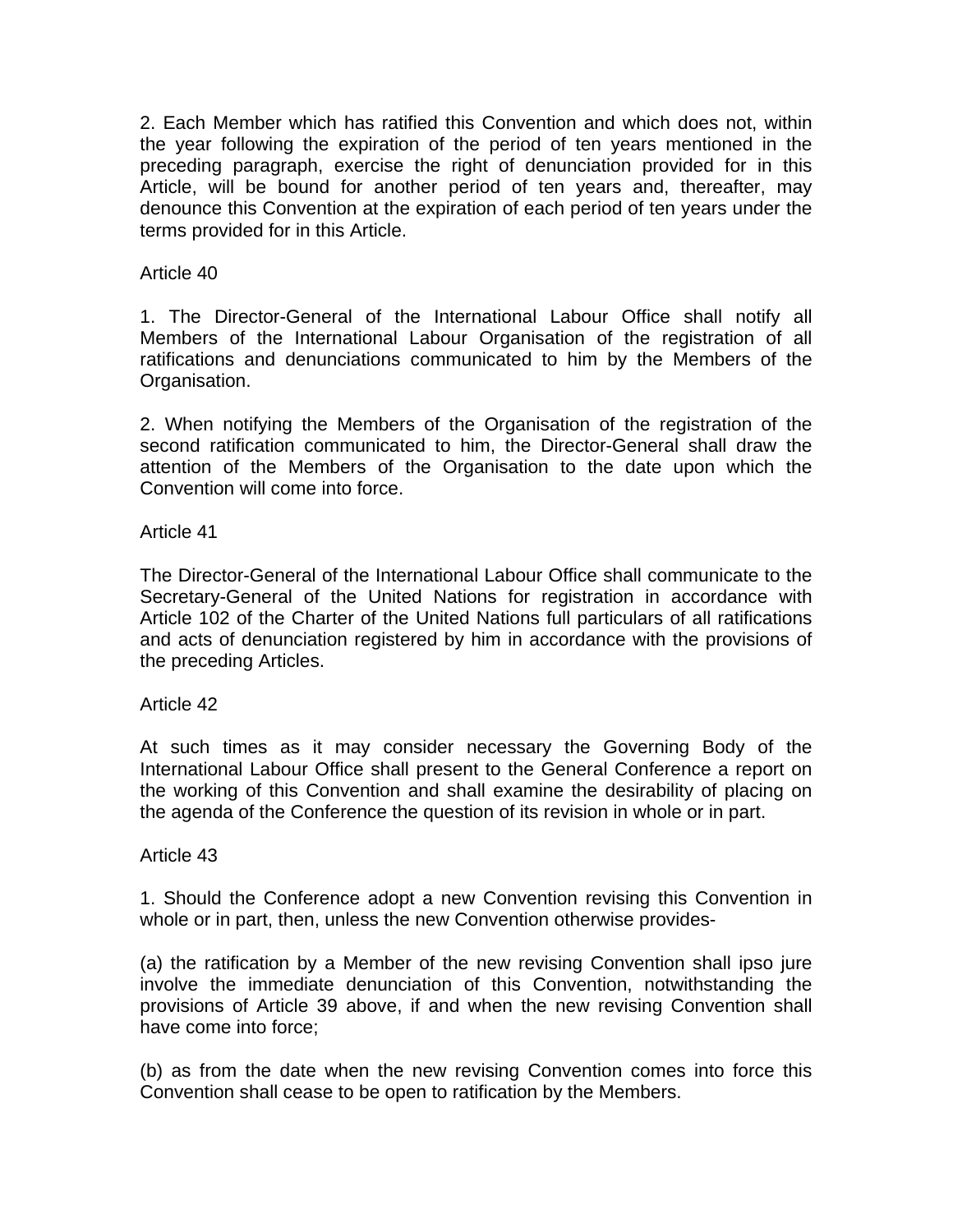2. Each Member which has ratified this Convention and which does not, within the year following the expiration of the period of ten years mentioned in the preceding paragraph, exercise the right of denunciation provided for in this Article, will be bound for another period of ten years and, thereafter, may denounce this Convention at the expiration of each period of ten years under the terms provided for in this Article.

Article 40

1. The Director-General of the International Labour Office shall notify all Members of the International Labour Organisation of the registration of all ratifications and denunciations communicated to him by the Members of the Organisation.

2. When notifying the Members of the Organisation of the registration of the second ratification communicated to him, the Director-General shall draw the attention of the Members of the Organisation to the date upon which the Convention will come into force.

Article 41

The Director-General of the International Labour Office shall communicate to the Secretary-General of the United Nations for registration in accordance with Article 102 of the Charter of the United Nations full particulars of all ratifications and acts of denunciation registered by him in accordance with the provisions of the preceding Articles.

Article 42

At such times as it may consider necessary the Governing Body of the International Labour Office shall present to the General Conference a report on the working of this Convention and shall examine the desirability of placing on the agenda of the Conference the question of its revision in whole or in part.

Article 43

1. Should the Conference adopt a new Convention revising this Convention in whole or in part, then, unless the new Convention otherwise provides-

(a) the ratification by a Member of the new revising Convention shall ipso jure involve the immediate denunciation of this Convention, notwithstanding the provisions of Article 39 above, if and when the new revising Convention shall have come into force;

(b) as from the date when the new revising Convention comes into force this Convention shall cease to be open to ratification by the Members.